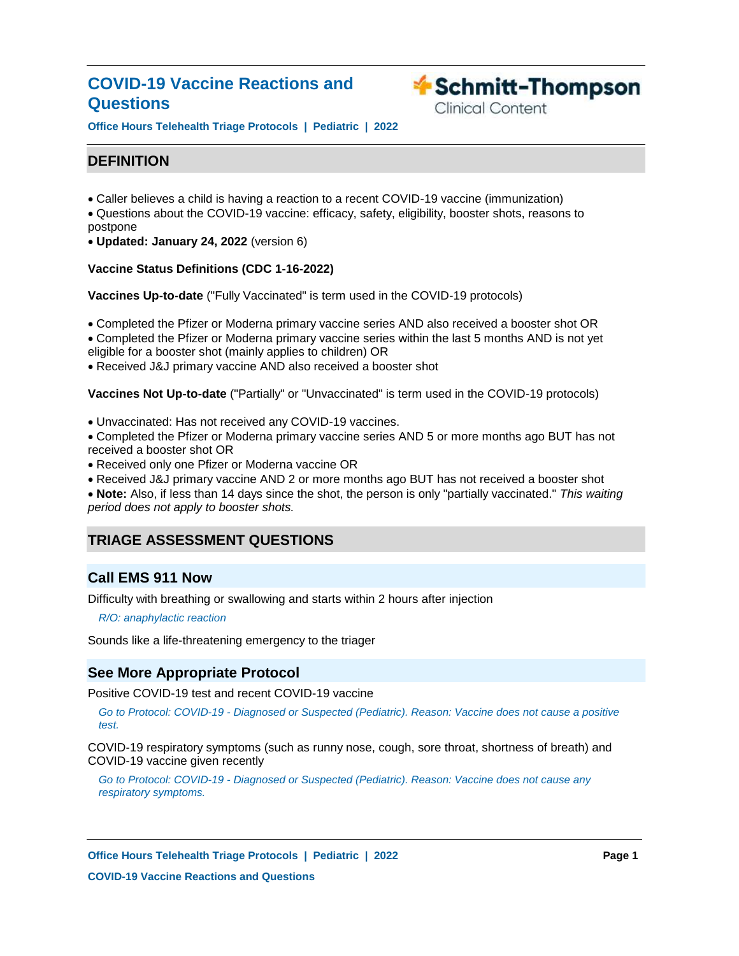# **COVID-19 Vaccine Reactions and Questions**



**Clinical Content** 

**Office Hours Telehealth Triage Protocols | Pediatric | 2022**

# **DEFINITION**

- Caller believes a child is having a reaction to a recent COVID-19 vaccine (immunization)
- Questions about the COVID-19 vaccine: efficacy, safety, eligibility, booster shots, reasons to postpone
- **Updated: January 24, 2022** (version 6)

# **Vaccine Status Definitions (CDC 1-16-2022)**

**Vaccines Up-to-date** ("Fully Vaccinated" is term used in the COVID-19 protocols)

Completed the Pfizer or Moderna primary vaccine series AND also received a booster shot OR Completed the Pfizer or Moderna primary vaccine series within the last 5 months AND is not yet

eligible for a booster shot (mainly applies to children) OR

Received J&J primary vaccine AND also received a booster shot

**Vaccines Not Up-to-date** ("Partially" or "Unvaccinated" is term used in the COVID-19 protocols)

Unvaccinated: Has not received any COVID-19 vaccines.

Completed the Pfizer or Moderna primary vaccine series AND 5 or more months ago BUT has not received a booster shot OR

- Received only one Pfizer or Moderna vaccine OR
- Received J&J primary vaccine AND 2 or more months ago BUT has not received a booster shot

**Note:** Also, if less than 14 days since the shot, the person is only "partially vaccinated." *This waiting period does not apply to booster shots.*

# **TRIAGE ASSESSMENT QUESTIONS**

# **Call EMS 911 Now**

Difficulty with breathing or swallowing and starts within 2 hours after injection

*R/O: anaphylactic reaction*

Sounds like a life-threatening emergency to the triager

# **See More Appropriate Protocol**

Positive COVID-19 test and recent COVID-19 vaccine

*Go to Protocol: COVID-19 - Diagnosed or Suspected (Pediatric). Reason: Vaccine does not cause a positive test.*

COVID-19 respiratory symptoms (such as runny nose, cough, sore throat, shortness of breath) and COVID-19 vaccine given recently

*Go to Protocol: COVID-19 - Diagnosed or Suspected (Pediatric). Reason: Vaccine does not cause any respiratory symptoms.*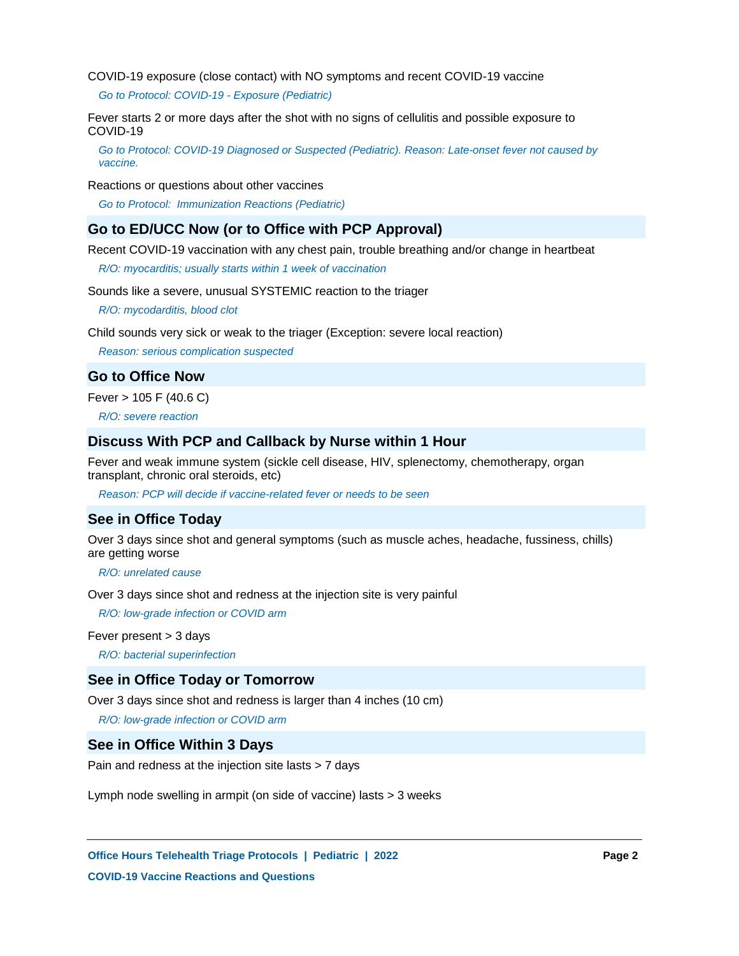COVID-19 exposure (close contact) with NO symptoms and recent COVID-19 vaccine

*Go to Protocol: COVID-19 - Exposure (Pediatric)*

Fever starts 2 or more days after the shot with no signs of cellulitis and possible exposure to COVID-19

*Go to Protocol: COVID-19 Diagnosed or Suspected (Pediatric). Reason: Late-onset fever not caused by vaccine.*

Reactions or questions about other vaccines

*Go to Protocol: Immunization Reactions (Pediatric)*

# **Go to ED/UCC Now (or to Office with PCP Approval)**

Recent COVID-19 vaccination with any chest pain, trouble breathing and/or change in heartbeat

*R/O: myocarditis; usually starts within 1 week of vaccination*

Sounds like a severe, unusual SYSTEMIC reaction to the triager

*R/O: mycodarditis, blood clot*

Child sounds very sick or weak to the triager (Exception: severe local reaction)

*Reason: serious complication suspected*

# **Go to Office Now**

Fever > 105 F (40.6 C)

*R/O: severe reaction*

# **Discuss With PCP and Callback by Nurse within 1 Hour**

Fever and weak immune system (sickle cell disease, HIV, splenectomy, chemotherapy, organ transplant, chronic oral steroids, etc)

*Reason: PCP will decide if vaccine-related fever or needs to be seen*

# **See in Office Today**

Over 3 days since shot and general symptoms (such as muscle aches, headache, fussiness, chills) are getting worse

*R/O: unrelated cause*

Over 3 days since shot and redness at the injection site is very painful

*R/O: low-grade infection or COVID arm*

Fever present > 3 days

*R/O: bacterial superinfection*

### **See in Office Today or Tomorrow**

Over 3 days since shot and redness is larger than 4 inches (10 cm)

*R/O: low-grade infection or COVID arm*

# **See in Office Within 3 Days**

Pain and redness at the injection site lasts > 7 days

Lymph node swelling in armpit (on side of vaccine) lasts > 3 weeks

**Office Hours Telehealth Triage Protocols | Pediatric | 2022 Page 2 COVID-19 Vaccine Reactions and Questions**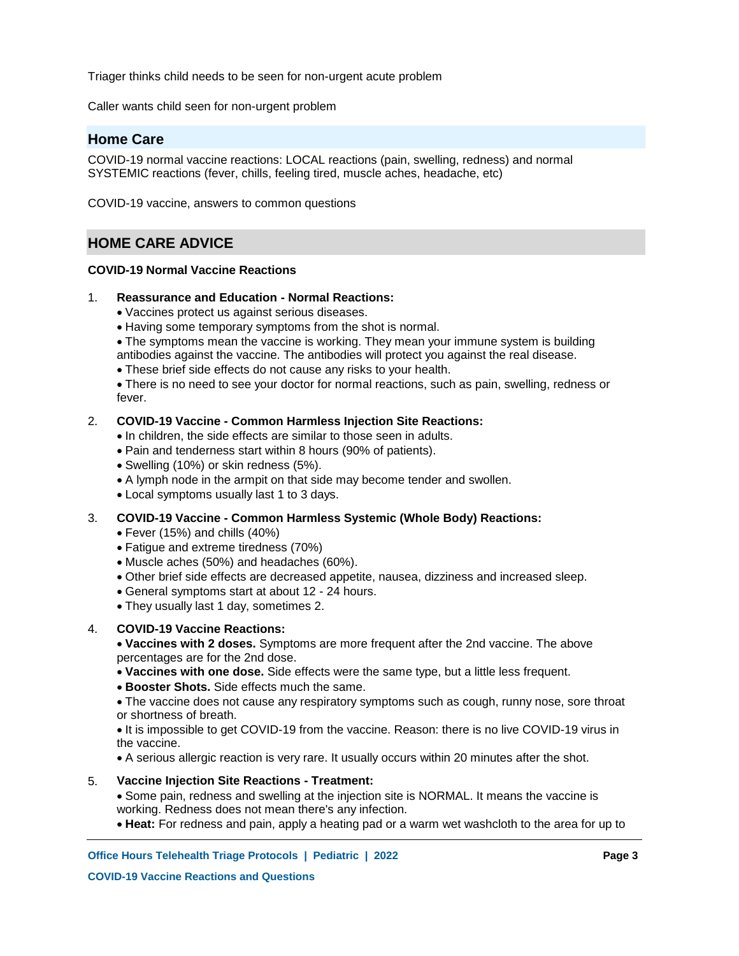Triager thinks child needs to be seen for non-urgent acute problem

Caller wants child seen for non-urgent problem

# **Home Care**

COVID-19 normal vaccine reactions: LOCAL reactions (pain, swelling, redness) and normal SYSTEMIC reactions (fever, chills, feeling tired, muscle aches, headache, etc)

COVID-19 vaccine, answers to common questions

# **HOME CARE ADVICE**

### **COVID-19 Normal Vaccine Reactions**

#### **Reassurance and Education - Normal Reactions:** 1.

- Vaccines protect us against serious diseases.
- Having some temporary symptoms from the shot is normal.

• The symptoms mean the vaccine is working. They mean your immune system is building

- antibodies against the vaccine. The antibodies will protect you against the real disease.
- These brief side effects do not cause any risks to your health.

There is no need to see your doctor for normal reactions, such as pain, swelling, redness or fever.

#### **COVID-19 Vaccine - Common Harmless Injection Site Reactions:** 2.

- In children, the side effects are similar to those seen in adults.
- Pain and tenderness start within 8 hours (90% of patients).
- Swelling (10%) or skin redness (5%).
- A lymph node in the armpit on that side may become tender and swollen.
- Local symptoms usually last 1 to 3 days.

#### **COVID-19 Vaccine - Common Harmless Systemic (Whole Body) Reactions:** 3.

- Fever (15%) and chills (40%)
- Fatigue and extreme tiredness (70%)
- Muscle aches (50%) and headaches (60%).
- Other brief side effects are decreased appetite, nausea, dizziness and increased sleep.
- General symptoms start at about 12 24 hours.
- They usually last 1 day, sometimes 2.

#### **COVID-19 Vaccine Reactions:** 4.

**Vaccines with 2 doses.** Symptoms are more frequent after the 2nd vaccine. The above percentages are for the 2nd dose.

- **Vaccines with one dose.** Side effects were the same type, but a little less frequent.
- **Booster Shots.** Side effects much the same.

The vaccine does not cause any respiratory symptoms such as cough, runny nose, sore throat or shortness of breath.

• It is impossible to get COVID-19 from the vaccine. Reason: there is no live COVID-19 virus in the vaccine.

A serious allergic reaction is very rare. It usually occurs within 20 minutes after the shot.

#### **Vaccine Injection Site Reactions - Treatment:** 5.

Some pain, redness and swelling at the injection site is NORMAL. It means the vaccine is working. Redness does not mean there's any infection.

**Heat:** For redness and pain, apply a heating pad or a warm wet washcloth to the area for up to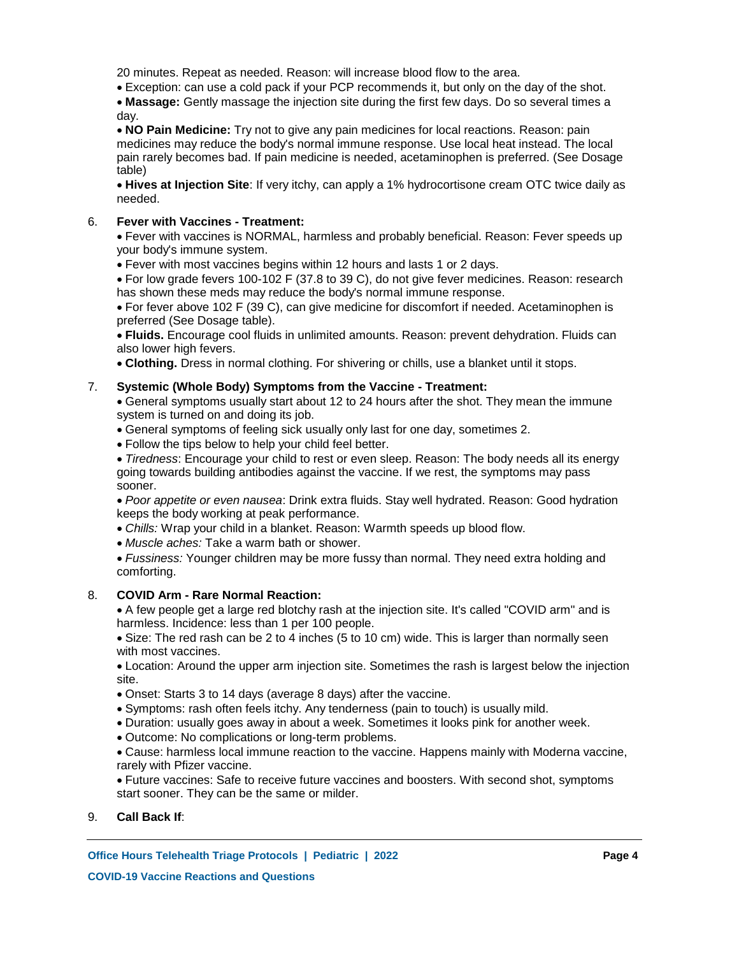20 minutes. Repeat as needed. Reason: will increase blood flow to the area.

Exception: can use a cold pack if your PCP recommends it, but only on the day of the shot.

**Massage:** Gently massage the injection site during the first few days. Do so several times a day.

**NO Pain Medicine:** Try not to give any pain medicines for local reactions. Reason: pain medicines may reduce the body's normal immune response. Use local heat instead. The local pain rarely becomes bad. If pain medicine is needed, acetaminophen is preferred. (See Dosage table)

**Hives at Injection Site**: If very itchy, can apply a 1% hydrocortisone cream OTC twice daily as needed.

#### **Fever with Vaccines - Treatment:** 6.

Fever with vaccines is NORMAL, harmless and probably beneficial. Reason: Fever speeds up your body's immune system.

Fever with most vaccines begins within 12 hours and lasts 1 or 2 days.

For low grade fevers 100-102 F (37.8 to 39 C), do not give fever medicines. Reason: research has shown these meds may reduce the body's normal immune response.

For fever above 102 F (39 C), can give medicine for discomfort if needed. Acetaminophen is preferred (See Dosage table).

**Fluids.** Encourage cool fluids in unlimited amounts. Reason: prevent dehydration. Fluids can also lower high fevers.

**Clothing.** Dress in normal clothing. For shivering or chills, use a blanket until it stops.

#### **Systemic (Whole Body) Symptoms from the Vaccine - Treatment:** 7.

General symptoms usually start about 12 to 24 hours after the shot. They mean the immune system is turned on and doing its job.

- General symptoms of feeling sick usually only last for one day, sometimes 2.
- Follow the tips below to help your child feel better.

*Tiredness*: Encourage your child to rest or even sleep. Reason: The body needs all its energy going towards building antibodies against the vaccine. If we rest, the symptoms may pass sooner.

*Poor appetite or even nausea*: Drink extra fluids. Stay well hydrated. Reason: Good hydration keeps the body working at peak performance.

- *Chills:* Wrap your child in a blanket. Reason: Warmth speeds up blood flow.
- *Muscle aches:* Take a warm bath or shower.
- *Fussiness:* Younger children may be more fussy than normal. They need extra holding and comforting.

#### **COVID Arm - Rare Normal Reaction:** 8.

A few people get a large red blotchy rash at the injection site. It's called "COVID arm" and is harmless. Incidence: less than 1 per 100 people.

• Size: The red rash can be 2 to 4 inches (5 to 10 cm) wide. This is larger than normally seen with most vaccines.

Location: Around the upper arm injection site. Sometimes the rash is largest below the injection site.

- Onset: Starts 3 to 14 days (average 8 days) after the vaccine.
- Symptoms: rash often feels itchy. Any tenderness (pain to touch) is usually mild.
- Duration: usually goes away in about a week. Sometimes it looks pink for another week.
- Outcome: No complications or long-term problems.

Cause: harmless local immune reaction to the vaccine. Happens mainly with Moderna vaccine, rarely with Pfizer vaccine.

Future vaccines: Safe to receive future vaccines and boosters. With second shot, symptoms start sooner. They can be the same or milder.

9. **Call Back If**: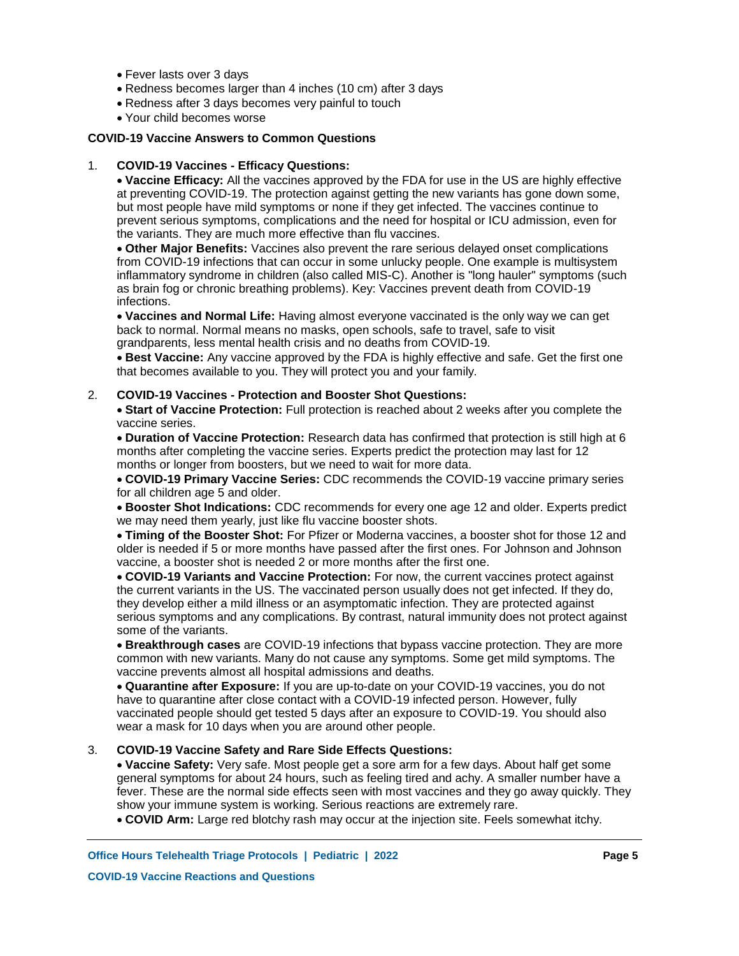- Fever lasts over 3 days
- Redness becomes larger than 4 inches (10 cm) after 3 days
- Redness after 3 days becomes very painful to touch
- Your child becomes worse

### **COVID-19 Vaccine Answers to Common Questions**

#### **COVID-19 Vaccines - Efficacy Questions:** 1.

**Vaccine Efficacy:** All the vaccines approved by the FDA for use in the US are highly effective at preventing COVID-19. The protection against getting the new variants has gone down some, but most people have mild symptoms or none if they get infected. The vaccines continue to prevent serious symptoms, complications and the need for hospital or ICU admission, even for the variants. They are much more effective than flu vaccines.

**Other Major Benefits:** Vaccines also prevent the rare serious delayed onset complications from COVID-19 infections that can occur in some unlucky people. One example is multisystem inflammatory syndrome in children (also called MIS-C). Another is "long hauler" symptoms (such as brain fog or chronic breathing problems). Key: Vaccines prevent death from COVID-19 infections.

**Vaccines and Normal Life:** Having almost everyone vaccinated is the only way we can get back to normal. Normal means no masks, open schools, safe to travel, safe to visit grandparents, less mental health crisis and no deaths from COVID-19.

**Best Vaccine:** Any vaccine approved by the FDA is highly effective and safe. Get the first one that becomes available to you. They will protect you and your family.

#### **COVID-19 Vaccines - Protection and Booster Shot Questions:** 2.

**Start of Vaccine Protection:** Full protection is reached about 2 weeks after you complete the vaccine series.

**Duration of Vaccine Protection:** Research data has confirmed that protection is still high at 6 months after completing the vaccine series. Experts predict the protection may last for 12 months or longer from boosters, but we need to wait for more data.

**COVID-19 Primary Vaccine Series:** CDC recommends the COVID-19 vaccine primary series for all children age 5 and older.

**Booster Shot Indications:** CDC recommends for every one age 12 and older. Experts predict we may need them yearly, just like flu vaccine booster shots.

**Timing of the Booster Shot:** For Pfizer or Moderna vaccines, a booster shot for those 12 and older is needed if 5 or more months have passed after the first ones. For Johnson and Johnson vaccine, a booster shot is needed 2 or more months after the first one.

**COVID-19 Variants and Vaccine Protection:** For now, the current vaccines protect against the current variants in the US. The vaccinated person usually does not get infected. If they do, they develop either a mild illness or an asymptomatic infection. They are protected against serious symptoms and any complications. By contrast, natural immunity does not protect against some of the variants.

**Breakthrough cases** are COVID-19 infections that bypass vaccine protection. They are more common with new variants. Many do not cause any symptoms. Some get mild symptoms. The vaccine prevents almost all hospital admissions and deaths.

**Quarantine after Exposure:** If you are up-to-date on your COVID-19 vaccines, you do not have to quarantine after close contact with a COVID-19 infected person. However, fully vaccinated people should get tested 5 days after an exposure to COVID-19. You should also wear a mask for 10 days when you are around other people.

#### **COVID-19 Vaccine Safety and Rare Side Effects Questions:** 3.

**Vaccine Safety:** Very safe. Most people get a sore arm for a few days. About half get some general symptoms for about 24 hours, such as feeling tired and achy. A smaller number have a fever. These are the normal side effects seen with most vaccines and they go away quickly. They show your immune system is working. Serious reactions are extremely rare.

**COVID Arm:** Large red blotchy rash may occur at the injection site. Feels somewhat itchy.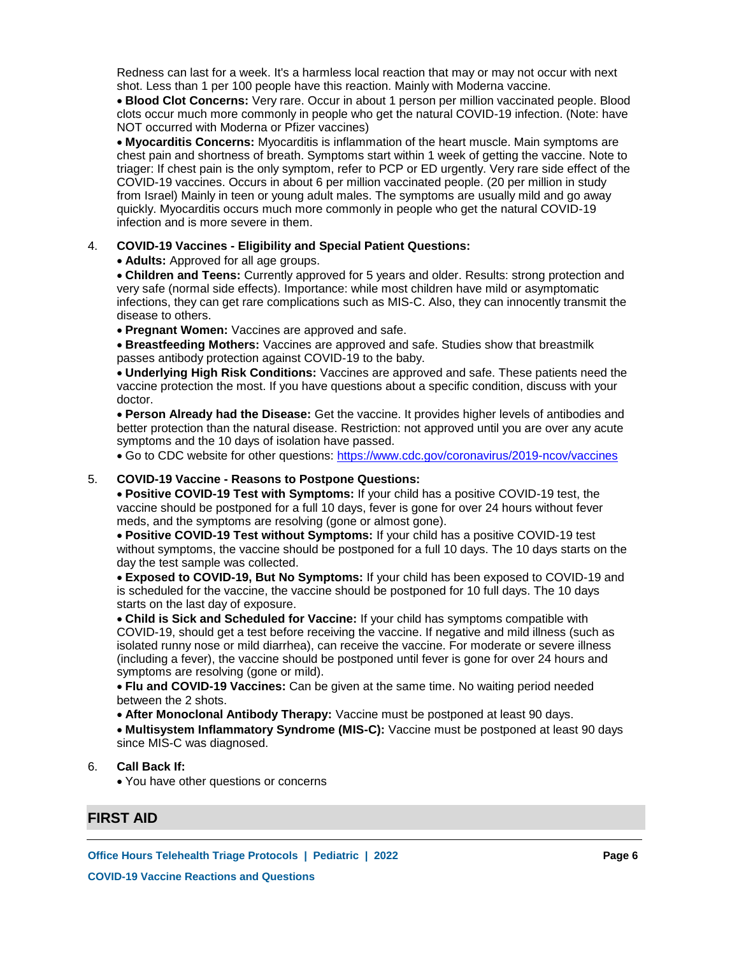Redness can last for a week. It's a harmless local reaction that may or may not occur with next shot. Less than 1 per 100 people have this reaction. Mainly with Moderna vaccine.

**Blood Clot Concerns:** Very rare. Occur in about 1 person per million vaccinated people. Blood clots occur much more commonly in people who get the natural COVID-19 infection. (Note: have NOT occurred with Moderna or Pfizer vaccines)

**Myocarditis Concerns:** Myocarditis is inflammation of the heart muscle. Main symptoms are chest pain and shortness of breath. Symptoms start within 1 week of getting the vaccine. Note to triager: If chest pain is the only symptom, refer to PCP or ED urgently. Very rare side effect of the COVID-19 vaccines. Occurs in about 6 per million vaccinated people. (20 per million in study from Israel) Mainly in teen or young adult males. The symptoms are usually mild and go away quickly. Myocarditis occurs much more commonly in people who get the natural COVID-19 infection and is more severe in them.

#### **COVID-19 Vaccines - Eligibility and Special Patient Questions:** 4.

**Adults:** Approved for all age groups.

**Children and Teens:** Currently approved for 5 years and older. Results: strong protection and very safe (normal side effects). Importance: while most children have mild or asymptomatic infections, they can get rare complications such as MIS-C. Also, they can innocently transmit the disease to others.

**Pregnant Women:** Vaccines are approved and safe.

**Breastfeeding Mothers:** Vaccines are approved and safe. Studies show that breastmilk passes antibody protection against COVID-19 to the baby.

**Underlying High Risk Conditions:** Vaccines are approved and safe. These patients need the vaccine protection the most. If you have questions about a specific condition, discuss with your doctor.

**Person Already had the Disease:** Get the vaccine. It provides higher levels of antibodies and better protection than the natural disease. Restriction: not approved until you are over any acute symptoms and the 10 days of isolation have passed.

Go to CDC website for other questions: https://www.cdc.gov/coronavirus/2019-ncov/vaccines

#### **COVID-19 Vaccine - Reasons to Postpone Questions:** 5.

**Positive COVID-19 Test with Symptoms:** If your child has a positive COVID-19 test, the vaccine should be postponed for a full 10 days, fever is gone for over 24 hours without fever meds, and the symptoms are resolving (gone or almost gone).

**Positive COVID-19 Test without Symptoms:** If your child has a positive COVID-19 test without symptoms, the vaccine should be postponed for a full 10 days. The 10 days starts on the day the test sample was collected.

**Exposed to COVID-19, But No Symptoms:** If your child has been exposed to COVID-19 and is scheduled for the vaccine, the vaccine should be postponed for 10 full days. The 10 days starts on the last day of exposure.

**Child is Sick and Scheduled for Vaccine:** If your child has symptoms compatible with COVID-19, should get a test before receiving the vaccine. If negative and mild illness (such as isolated runny nose or mild diarrhea), can receive the vaccine. For moderate or severe illness (including a fever), the vaccine should be postponed until fever is gone for over 24 hours and symptoms are resolving (gone or mild).

**Flu and COVID-19 Vaccines:** Can be given at the same time. No waiting period needed between the 2 shots.

**After Monoclonal Antibody Therapy:** Vaccine must be postponed at least 90 days.

**Multisystem Inflammatory Syndrome (MIS-C):** Vaccine must be postponed at least 90 days since MIS-C was diagnosed.

#### **Call Back If:** 6.

You have other questions or concerns

# **FIRST AID**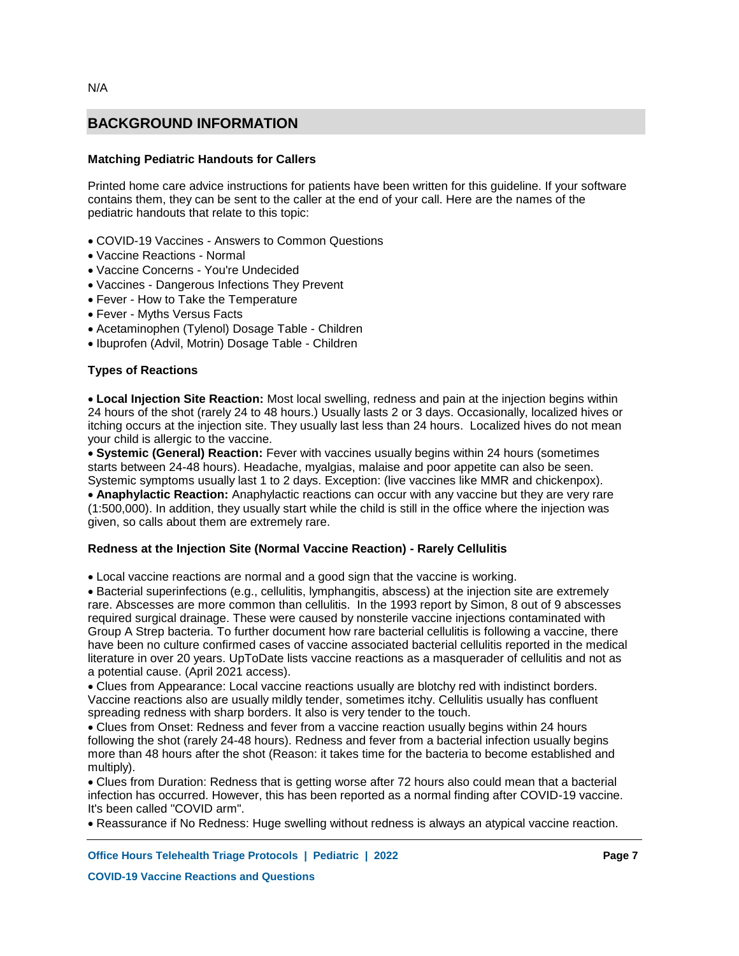# **Matching Pediatric Handouts for Callers**

Printed home care advice instructions for patients have been written for this guideline. If your software contains them, they can be sent to the caller at the end of your call. Here are the names of the pediatric handouts that relate to this topic:

- COVID-19 Vaccines Answers to Common Questions
- Vaccine Reactions Normal
- Vaccine Concerns You're Undecided
- Vaccines Dangerous Infections They Prevent
- Fever How to Take the Temperature
- Fever Myths Versus Facts
- Acetaminophen (Tylenol) Dosage Table Children
- Ibuprofen (Advil, Motrin) Dosage Table Children

# **Types of Reactions**

**Local Injection Site Reaction:** Most local swelling, redness and pain at the injection begins within 24 hours of the shot (rarely 24 to 48 hours.) Usually lasts 2 or 3 days. Occasionally, localized hives or itching occurs at the injection site. They usually last less than 24 hours. Localized hives do not mean your child is allergic to the vaccine.

**Systemic (General) Reaction:** Fever with vaccines usually begins within 24 hours (sometimes starts between 24-48 hours). Headache, myalgias, malaise and poor appetite can also be seen. Systemic symptoms usually last 1 to 2 days. Exception: (live vaccines like MMR and chickenpox). **Anaphylactic Reaction:** Anaphylactic reactions can occur with any vaccine but they are very rare (1:500,000). In addition, they usually start while the child is still in the office where the injection was given, so calls about them are extremely rare.

### **Redness at the Injection Site (Normal Vaccine Reaction) - Rarely Cellulitis**

Local vaccine reactions are normal and a good sign that the vaccine is working.

Bacterial superinfections (e.g., cellulitis, lymphangitis, abscess) at the injection site are extremely rare. Abscesses are more common than cellulitis. In the 1993 report by Simon, 8 out of 9 abscesses required surgical drainage. These were caused by nonsterile vaccine injections contaminated with Group A Strep bacteria. To further document how rare bacterial cellulitis is following a vaccine, there have been no culture confirmed cases of vaccine associated bacterial cellulitis reported in the medical literature in over 20 years. UpToDate lists vaccine reactions as a masquerader of cellulitis and not as a potential cause. (April 2021 access).

Clues from Appearance: Local vaccine reactions usually are blotchy red with indistinct borders. Vaccine reactions also are usually mildly tender, sometimes itchy. Cellulitis usually has confluent spreading redness with sharp borders. It also is very tender to the touch.

Clues from Onset: Redness and fever from a vaccine reaction usually begins within 24 hours following the shot (rarely 24-48 hours). Redness and fever from a bacterial infection usually begins more than 48 hours after the shot (Reason: it takes time for the bacteria to become established and multiply).

Clues from Duration: Redness that is getting worse after 72 hours also could mean that a bacterial infection has occurred. However, this has been reported as a normal finding after COVID-19 vaccine. It's been called "COVID arm".

Reassurance if No Redness: Huge swelling without redness is always an atypical vaccine reaction.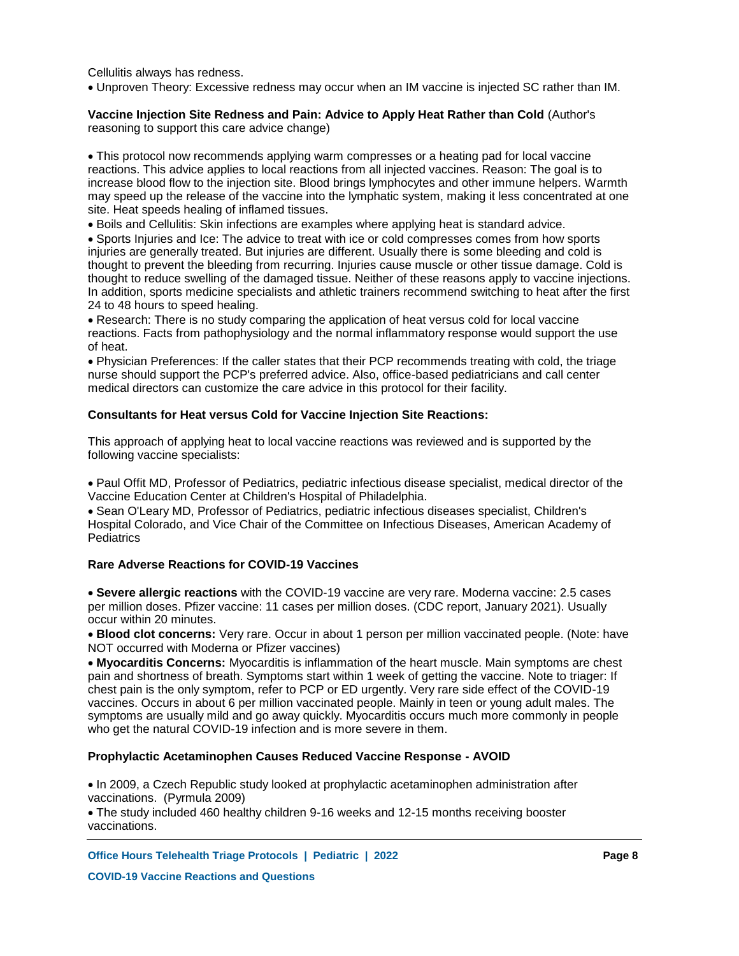Cellulitis always has redness.

Unproven Theory: Excessive redness may occur when an IM vaccine is injected SC rather than IM.

### **Vaccine Injection Site Redness and Pain: Advice to Apply Heat Rather than Cold** (Author's reasoning to support this care advice change)

This protocol now recommends applying warm compresses or a heating pad for local vaccine reactions. This advice applies to local reactions from all injected vaccines. Reason: The goal is to increase blood flow to the injection site. Blood brings lymphocytes and other immune helpers. Warmth may speed up the release of the vaccine into the lymphatic system, making it less concentrated at one site. Heat speeds healing of inflamed tissues.

Boils and Cellulitis: Skin infections are examples where applying heat is standard advice.

Sports Injuries and Ice: The advice to treat with ice or cold compresses comes from how sports injuries are generally treated. But injuries are different. Usually there is some bleeding and cold is thought to prevent the bleeding from recurring. Injuries cause muscle or other tissue damage. Cold is thought to reduce swelling of the damaged tissue. Neither of these reasons apply to vaccine injections. In addition, sports medicine specialists and athletic trainers recommend switching to heat after the first 24 to 48 hours to speed healing.

Research: There is no study comparing the application of heat versus cold for local vaccine reactions. Facts from pathophysiology and the normal inflammatory response would support the use of heat.

Physician Preferences: If the caller states that their PCP recommends treating with cold, the triage nurse should support the PCP's preferred advice. Also, office-based pediatricians and call center medical directors can customize the care advice in this protocol for their facility.

### **Consultants for Heat versus Cold for Vaccine Injection Site Reactions:**

This approach of applying heat to local vaccine reactions was reviewed and is supported by the following vaccine specialists:

Paul Offit MD, Professor of Pediatrics, pediatric infectious disease specialist, medical director of the Vaccine Education Center at Children's Hospital of Philadelphia.

Sean O'Leary MD, Professor of Pediatrics, pediatric infectious diseases specialist, Children's Hospital Colorado, and Vice Chair of the Committee on Infectious Diseases, American Academy of **Pediatrics** 

### **Rare Adverse Reactions for COVID-19 Vaccines**

**Severe allergic reactions** with the COVID-19 vaccine are very rare. Moderna vaccine: 2.5 cases per million doses. Pfizer vaccine: 11 cases per million doses. (CDC report, January 2021). Usually occur within 20 minutes.

**Blood clot concerns:** Very rare. Occur in about 1 person per million vaccinated people. (Note: have NOT occurred with Moderna or Pfizer vaccines)

**Myocarditis Concerns:** Myocarditis is inflammation of the heart muscle. Main symptoms are chest pain and shortness of breath. Symptoms start within 1 week of getting the vaccine. Note to triager: If chest pain is the only symptom, refer to PCP or ED urgently. Very rare side effect of the COVID-19 vaccines. Occurs in about 6 per million vaccinated people. Mainly in teen or young adult males. The symptoms are usually mild and go away quickly. Myocarditis occurs much more commonly in people who get the natural COVID-19 infection and is more severe in them.

### **Prophylactic Acetaminophen Causes Reduced Vaccine Response - AVOID**

• In 2009, a Czech Republic study looked at prophylactic acetaminophen administration after vaccinations. (Pyrmula 2009)

The study included 460 healthy children 9-16 weeks and 12-15 months receiving booster vaccinations.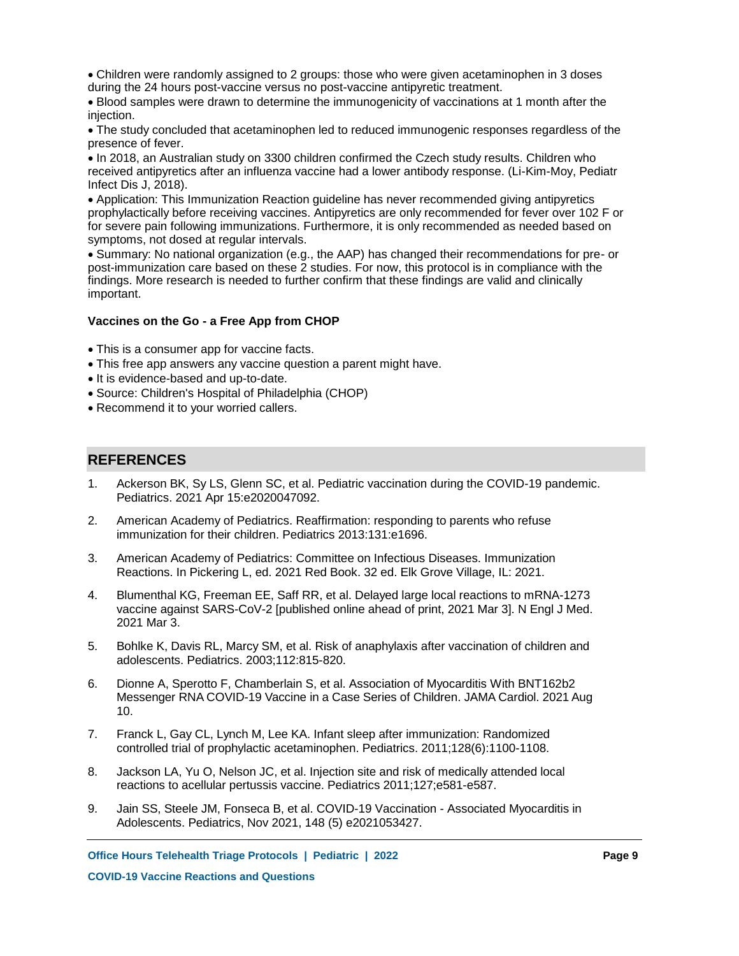Children were randomly assigned to 2 groups: those who were given acetaminophen in 3 doses during the 24 hours post-vaccine versus no post-vaccine antipyretic treatment.

Blood samples were drawn to determine the immunogenicity of vaccinations at 1 month after the injection.

The study concluded that acetaminophen led to reduced immunogenic responses regardless of the presence of fever.

• In 2018, an Australian study on 3300 children confirmed the Czech study results. Children who received antipyretics after an influenza vaccine had a lower antibody response. (Li-Kim-Moy, Pediatr Infect Dis J, 2018).

Application: This Immunization Reaction guideline has never recommended giving antipyretics prophylactically before receiving vaccines. Antipyretics are only recommended for fever over 102 F or for severe pain following immunizations. Furthermore, it is only recommended as needed based on symptoms, not dosed at regular intervals.

Summary: No national organization (e.g., the AAP) has changed their recommendations for pre- or post-immunization care based on these 2 studies. For now, this protocol is in compliance with the findings. More research is needed to further confirm that these findings are valid and clinically important.

### **Vaccines on the Go - a Free App from CHOP**

This is a consumer app for vaccine facts.

- This free app answers any vaccine question a parent might have.
- It is evidence-based and up-to-date.
- Source: Children's Hospital of Philadelphia (CHOP)
- Recommend it to your worried callers.

# **REFERENCES**

- Ackerson BK, Sy LS, Glenn SC, et al. Pediatric vaccination during the COVID-19 pandemic. Pediatrics. 2021 Apr 15:e2020047092. 1.
- American Academy of Pediatrics. Reaffirmation: responding to parents who refuse immunization for their children. Pediatrics 2013:131:e1696. 2.
- American Academy of Pediatrics: Committee on Infectious Diseases. Immunization Reactions. In Pickering L, ed. 2021 Red Book. 32 ed. Elk Grove Village, IL: 2021. 3.
- Blumenthal KG, Freeman EE, Saff RR, et al. Delayed large local reactions to mRNA-1273 vaccine against SARS-CoV-2 [published online ahead of print, 2021 Mar 3]. N Engl J Med. 2021 Mar 3. 4.
- Bohlke K, Davis RL, Marcy SM, et al. Risk of anaphylaxis after vaccination of children and adolescents. Pediatrics. 2003;112:815-820. 5.
- Dionne A, Sperotto F, Chamberlain S, et al. Association of Myocarditis With BNT162b2 Messenger RNA COVID-19 Vaccine in a Case Series of Children. JAMA Cardiol. 2021 Aug 10. 6.
- Franck L, Gay CL, Lynch M, Lee KA. Infant sleep after immunization: Randomized controlled trial of prophylactic acetaminophen. Pediatrics. 2011;128(6):1100-1108. 7.
- Jackson LA, Yu O, Nelson JC, et al. Injection site and risk of medically attended local reactions to acellular pertussis vaccine. Pediatrics 2011;127;e581-e587. 8.
- Jain SS, Steele JM, Fonseca B, et al. COVID-19 Vaccination Associated Myocarditis in Adolescents. Pediatrics, Nov 2021, 148 (5) e2021053427. 9.